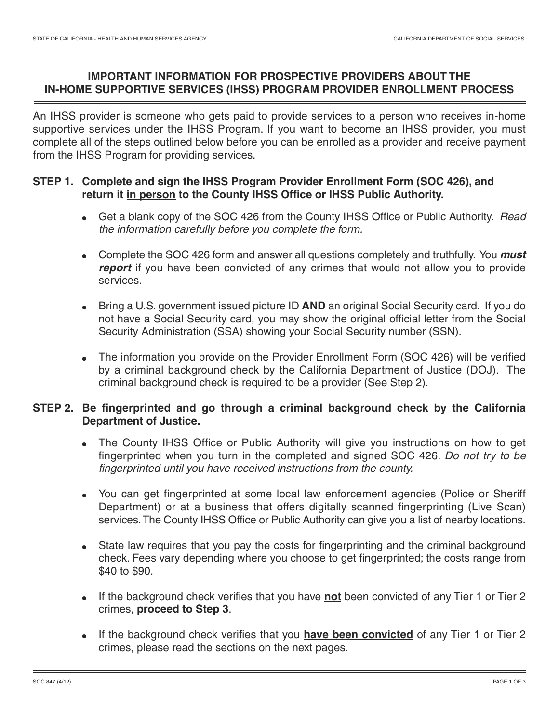# **IMPORTANT INFORMATION FOR PROSPECTIVE PROVIDERS ABOUT THE IN-HOME SUPPORTIVE SERVICES (IHSS) PROGRAM PROVIDER ENROLLMENT PROCESS**

An IHSS provider is someone who gets paid to provide services to a person who receives in-home supportive services under the IHSS Program. If you want to become an IHSS provider, you must complete all of the steps outlined below before you can be enrolled as a provider and receive payment from the IHSS Program for providing services.

## **STEP 1. Complete and sign the IHSS Program Provider Enrollment Form (SOC 426), and return it in person to the County IHSS Office or IHSS Public Authority.**

- Get a blank copy of the SOC 426 from the County IHSS Office or Public Authority. Read the information carefully before you complete the form.
- Complete the SOC 426 form and answer all questions completely and truthfully. You **must report** if you have been convicted of any crimes that would not allow you to provide services.
- Bring a U.S. government issued picture ID **AND** an original Social Security card. If you do not have a Social Security card, you may show the original official letter from the Social Security Administration (SSA) showing your Social Security number (SSN).
- The information you provide on the Provider Enrollment Form (SOC 426) will be verified by a criminal background check by the California Department of Justice (DOJ). The criminal background check is required to be a provider (See Step 2).

# **STEP 2. Be fingerprinted and go through a criminal background check by the California Department of Justice.**

- The County IHSS Office or Public Authority will give you instructions on how to get fingerprinted when you turn in the completed and signed SOC 426. Do not try to be fingerprinted until you have received instructions from the county.
- You can get fingerprinted at some local law enforcement agencies (Police or Sheriff Department) or at a business that offers digitally scanned fingerprinting (Live Scan) services. The County IHSS Office or Public Authority can give you a list of nearby locations.
- State law requires that you pay the costs for fingerprinting and the criminal background check. Fees vary depending where you choose to get fingerprinted; the costs range from \$40 to \$90.
- If the background check verifies that you have **not** been convicted of any Tier 1 or Tier 2 crimes, **proceed to Step 3**.
- If the background check verifies that you **have been convicted** of any Tier 1 or Tier 2 crimes, please read the sections on the next pages.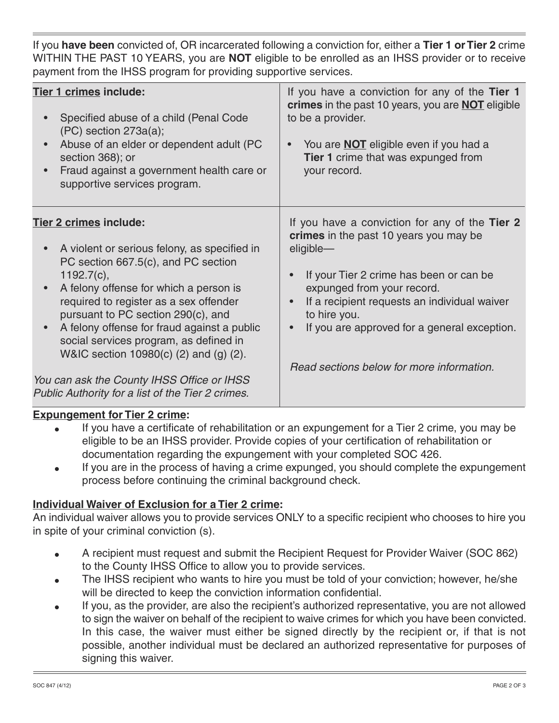If you **have been** convicted of, OR incarcerated following a conviction for, either a **Tier 1 or Tier 2** crime WITHIN THE PAST 10 YEARS, you are **NOT** eligible to be enrolled as an IHSS provider or to receive payment from the IHSS program for providing supportive services.

| Tier 1 crimes include:<br>Specified abuse of a child (Penal Code<br>$(PC)$ section $273a(a)$ ;<br>Abuse of an elder or dependent adult (PC<br>section 368); or<br>Fraud against a government health care or<br>supportive services program.                                                                                                                                                                           | If you have a conviction for any of the Tier 1<br>crimes in the past 10 years, you are <b>NOT</b> eligible<br>to be a provider.<br>You are <b>NOT</b> eligible even if you had a<br>Tier 1 crime that was expunged from<br>your record.                                                                                                     |
|-----------------------------------------------------------------------------------------------------------------------------------------------------------------------------------------------------------------------------------------------------------------------------------------------------------------------------------------------------------------------------------------------------------------------|---------------------------------------------------------------------------------------------------------------------------------------------------------------------------------------------------------------------------------------------------------------------------------------------------------------------------------------------|
| Tier 2 crimes include:<br>A violent or serious felony, as specified in<br>$\bullet$<br>PC section 667.5(c), and PC section<br>$1192.7(c)$ ,<br>A felony offense for which a person is<br>required to register as a sex offender<br>pursuant to PC section 290(c), and<br>A felony offense for fraud against a public<br>$\bullet$<br>social services program, as defined in<br>W&IC section 10980(c) (2) and (g) (2). | If you have a conviction for any of the Tier 2<br>crimes in the past 10 years you may be<br>eligible-<br>If your Tier 2 crime has been or can be<br>expunged from your record.<br>If a recipient requests an individual waiver<br>to hire you.<br>If you are approved for a general exception.<br>Read sections below for more information. |
| You can ask the County IHSS Office or IHSS<br>Public Authority for a list of the Tier 2 crimes.                                                                                                                                                                                                                                                                                                                       |                                                                                                                                                                                                                                                                                                                                             |

#### **Expungement for Tier 2 crime:**

- If you have a certificate of rehabilitation or an expungement for a Tier 2 crime, you may be eligible to be an IHSS provider. Provide copies of your certification of rehabilitation or documentation regarding the expungement with your completed SOC 426.
- If you are in the process of having a crime expunged, you should complete the expungement process before continuing the criminal background check.

#### **Individual Waiver of Exclusion for a Tier 2 crime:**

An individual waiver allows you to provide services ONLY to a specific recipient who chooses to hire you in spite of your criminal conviction (s).

- A recipient must request and submit the Recipient Request for Provider Waiver (SOC 862) to the County IHSS Office to allow you to provide services.
- The IHSS recipient who wants to hire you must be told of your conviction; however, he/she will be directed to keep the conviction information confidential.
- If you, as the provider, are also the recipient's authorized representative, you are not allowed to sign the waiver on behalf of the recipient to waive crimes for which you have been convicted. In this case, the waiver must either be signed directly by the recipient or, if that is not possible, another individual must be declared an authorized representative for purposes of signing this waiver.